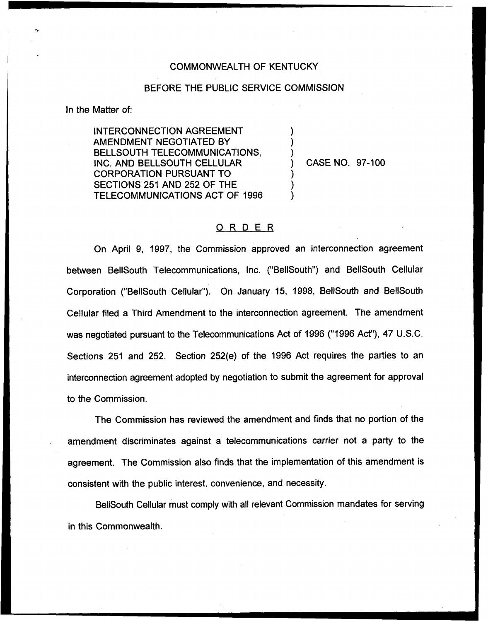## COMMONWEALTH OF KENTUCKY

## BEFORE THE PUBLIC SERVICE COMMISSION

) ) )

> ) ) )

In the Matter of:

INTERCONNECTION AGREEMENT AMENDMENT NEGOTIATED BY BELLSOUTH TELECOMMUNICATIONS, INC. AND BELLSOUTH CELLULAR CORPORATION PURSUANT TO SECTIONS 251 AND 252 OF THE TELECOMMUNICATIONS ACT OF 1996

) CASE NO. 97-100

## ORDER

On April 9, 199?, the Commission approved an interconnection agreement between BellSouth Telecommunications, Inc. ("BeIISouth") and BellSouth Cellular Corporation ("BellSouth Cellular"). On January 15, 1998, BellSouth and BellSouth Cellular filed a Third Amendment to the interconnection agreement. The amendment was negotiated pursuant to the Telecommunications Act of 1996 ("1996 Act"), 47 U.S.C. Sections 251 and 252. Section 252(e) of the 1996 Act requires the parties to an interconnection agreement adopted by negotiation to submit the agreement for approval to the Commission.

The Commission has reviewed the amendment and finds that no portion of the amendment discriminates against a telecommunications carrier not a party to the agreement. The Commission also finds that the implementation of this amendment is consistent with the public interest, convenience, and necessity.

BellSouth Cellular must comply with all relevant Commission mandates for serving in this Commonwealth.